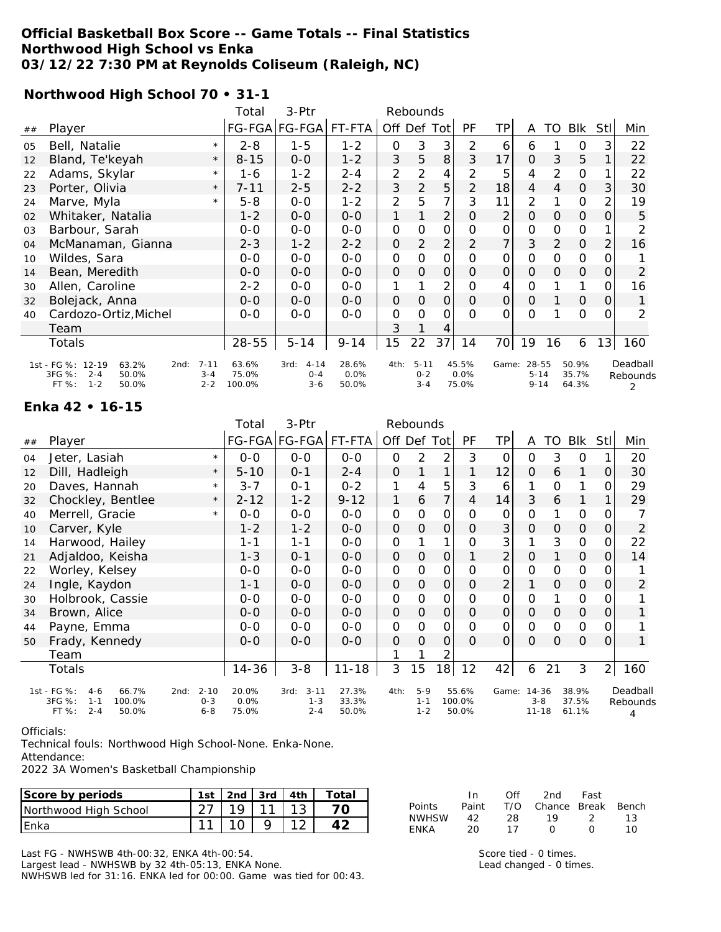#### **Official Basketball Box Score -- Game Totals -- Final Statistics Northwood High School vs Enka 03/12/22 7:30 PM at Reynolds Coliseum (Raleigh, NC)**

**Northwood High School 70 • 31-1**

|    |                                                                                               |                                | Total                    | 3-Ptr                                  |                        |               | Rebounds                       |                |                        |                 |                               |          |                         |                |                           |
|----|-----------------------------------------------------------------------------------------------|--------------------------------|--------------------------|----------------------------------------|------------------------|---------------|--------------------------------|----------------|------------------------|-----------------|-------------------------------|----------|-------------------------|----------------|---------------------------|
| ## | Player                                                                                        |                                |                          | FG-FGA FG-FGA FT-FTA                   |                        | Off Def Tot   |                                |                | PF                     | TP              | A                             | TO       | Blk                     | Stll           | Min                       |
| 05 | Bell, Natalie                                                                                 | $\star$                        | $2 - 8$                  | $1 - 5$                                | $1 - 2$                | $\mathbf 0$   | 3                              | 3              | 2                      | 6               | 6                             |          | 0                       | 3              | 22                        |
| 12 | Bland, Te'keyah                                                                               | $\star$                        | $8 - 15$                 | $0-0$                                  | $1 - 2$                | 3             | 5                              | 8              | 3                      | 17              | $\mathcal{O}$                 | 3        | 5                       |                | 22                        |
| 22 | Adams, Skylar                                                                                 | $\star$                        | 1-6                      | $1 - 2$                                | $2 - 4$                | 2             | 2                              | 4              | 2                      | 5               | 4                             | 2        | $\mathbf 0$             |                | 22                        |
| 23 | Porter, Olivia                                                                                | $\star$                        | 7-11                     | $2 - 5$                                | $2 - 2$                | 3             | $\overline{2}$                 | 5              | $\overline{2}$         | 18              | $\overline{4}$                | 4        | $\mathbf 0$             | $\mathcal{S}$  | 30                        |
| 24 | Marve, Myla                                                                                   | $\star$                        | $5 - 8$                  | $0 - 0$                                | $1 - 2$                | 2             | 5                              | 7              | 3                      | 11              | 2                             |          | 0                       | 2              | 19                        |
| 02 | Whitaker, Natalia                                                                             |                                | $1 - 2$                  | $0 - 0$                                | $0 - 0$                | 1             |                                | $\overline{2}$ | $\Omega$               | 2               | $\Omega$                      | $\Omega$ | $\mathbf 0$             | $\Omega$       | 5                         |
| 03 | Barbour, Sarah                                                                                |                                | $0 - 0$                  | $0 - 0$                                | $0 - 0$                | $\mathbf 0$   | 0                              | 0              | 0                      | 0               | $\mathsf{O}\xspace$           | 0        | $\mathbf 0$             |                |                           |
| 04 | McManaman, Gianna                                                                             |                                | $2 - 3$                  | $1 - 2$                                | $2 - 2$                | O             | 2                              | $\overline{2}$ | 2                      | $\overline{7}$  | 3                             | 2        | $\mathcal{O}$           | $\overline{2}$ | 16                        |
| 10 | Wildes, Sara                                                                                  |                                | $0 - 0$                  | $0 - 0$                                | $0-0$                  | $\mathbf 0$   | 0                              | 0              | $\Omega$               | 0               | O                             | 0        | 0                       | 0              |                           |
| 14 | Bean, Meredith                                                                                |                                | $0-0$                    | $0 - 0$                                | $0 - 0$                | 0             | 0                              | 0              | $\Omega$               | 0               | $\mathcal{O}$                 | $\Omega$ | 0                       | 0              | 2                         |
| 30 | Allen, Caroline                                                                               |                                | $2 - 2$                  | $0 - 0$                                | $0 - 0$                |               |                                | $\overline{2}$ | $\Omega$               | 4               | O                             |          | 1                       | 0              | 16                        |
| 32 | Bolejack, Anna                                                                                |                                | $O - O$                  | $O-O$                                  | $O-O$                  | 0             | $\Omega$                       | 0              | $\Omega$               | $\overline{O}$  | $\Omega$                      |          | $\mathcal{O}$           | 0              |                           |
| 40 | Cardozo-Ortiz, Michel                                                                         |                                | $0 - 0$                  | $0 - 0$                                | $O-O$                  | $\mathcal{O}$ | $\Omega$                       | 0              | $\Omega$               | $\Omega$        | $\Omega$                      |          | 0                       | $\Omega$       | $\mathfrak{D}$            |
|    | Team                                                                                          |                                |                          |                                        |                        | 3             |                                | 4              |                        |                 |                               |          |                         |                |                           |
|    | Totals                                                                                        |                                | 28-55                    | $5 - 14$                               | $9 - 14$               | 15            | 22                             | 37             | 14                     | 70 <sup>1</sup> | 19                            | 16       | 6                       | 13             | 160                       |
|    | 1st - FG %: 12-19<br>63.2%<br>2nd:<br>3FG %:<br>$2 - 4$<br>50.0%<br>FT %:<br>$1 - 2$<br>50.0% | $7 - 11$<br>$3 - 4$<br>$2 - 2$ | 63.6%<br>75.0%<br>100.0% | $4 - 14$<br>3rd:<br>$O - 4$<br>$3 - 6$ | 28.6%<br>0.0%<br>50.0% | 4th:          | $5 - 11$<br>$0 - 2$<br>$3 - 4$ |                | 45.5%<br>0.0%<br>75.0% | Game:           | 28-55<br>$5 - 14$<br>$9 - 14$ |          | 50.9%<br>35.7%<br>64.3% |                | Deadball<br>Rebounds<br>2 |

#### **Enka 42 • 16-15**

|    |                                                                                                   |                                | Total                  | 3-Ptr                                  | Rebounds                |             |                             |                |                          |                |                               |             |                         |                |                           |
|----|---------------------------------------------------------------------------------------------------|--------------------------------|------------------------|----------------------------------------|-------------------------|-------------|-----------------------------|----------------|--------------------------|----------------|-------------------------------|-------------|-------------------------|----------------|---------------------------|
| ## | Player                                                                                            |                                |                        | FG-FGA FG-FGA                          | FT-FTA                  | Off Def Tot |                             |                | PF                       | ΤP             | A                             | TO          | Blk                     | Stll           | Min                       |
| 04 | Jeter, Lasiah                                                                                     | $\star$                        | $0 - 0$                | $0 - 0$                                | $0-0$                   | 0           | 2                           | 2              | 3                        | O              | 0                             | 3           | 0                       |                | 20                        |
| 12 | Dill, Hadleigh                                                                                    | $\star$                        | $5 - 10$               | $0 - 1$                                | $2 - 4$                 | $\Omega$    |                             | 1              |                          | 12             | $\Omega$                      | 6           | 1                       | Ο              | 30                        |
| 20 | Daves, Hannah                                                                                     | $\star$                        | $3 - 7$                | $O - 1$                                | $0 - 2$                 | 1           | 4                           | 5              | 3                        | 6              |                               | O           |                         | 0              | 29                        |
| 32 | Chockley, Bentlee                                                                                 | $\star$                        | $2 - 12$               | $1 - 2$                                | $9 - 12$                | 1           | 6                           | 7 <sup>1</sup> | 4                        | 14             | 3                             | 6           | $\mathbf{1}$            |                | 29                        |
| 40 | Merrell, Gracie                                                                                   | $\star$                        | $0 - 0$                | $0-0$                                  | $0-0$                   | O           | 0                           | 0              | $\Omega$                 | $\mathcal{O}$  | 0                             |             | 0                       |                |                           |
| 10 | Carver, Kyle                                                                                      |                                | $1 - 2$                | $1 - 2$                                | $0 - 0$                 | $\Omega$    | $\Omega$                    | $\mathcal{O}$  | $\Omega$                 | 3              | $\Omega$                      | 0           | $\mathcal{O}$           | Ο              | 2                         |
| 14 | Harwood, Hailey                                                                                   |                                | $1 - 1$                | $1 - 1$                                | $0 - 0$                 | O           |                             | 1              | Ο                        | 3              | 1                             | 3           | 0                       | Ο              | 22                        |
| 21 | Adjaldoo, Keisha                                                                                  |                                | $1 - 3$                | $O - 1$                                | $0 - 0$                 | O           | $\Omega$                    | 0              |                          | 2              | O                             |             | $\mathbf{O}$            | Ο              | 14                        |
| 22 | Worley, Kelsey                                                                                    |                                | $0 - 0$                | $0 - 0$                                | $0-0$                   | 0           | 0                           | 0              | Ο                        | O              | 0                             | 0           | 0                       |                |                           |
| 24 | Ingle, Kaydon                                                                                     |                                | $1 - 1$                | $0 - 0$                                | $0 - 0$                 | $\Omega$    | $\Omega$                    | $\mathcal{O}$  | $\Omega$                 | $\overline{2}$ |                               | $\Omega$    | $\mathcal{O}$           | Ο              | $\overline{2}$            |
| 30 | Holbrook, Cassie                                                                                  |                                | $0 - 0$                | $0 - 0$                                | $0-0$                   | O           | 0                           | 0              | $\Omega$                 | 0              | $\mathbf 0$                   |             | 0                       |                |                           |
| 34 | Brown, Alice                                                                                      |                                | $0 - 0$                | $0 - 0$                                | $0 - 0$                 | $\Omega$    | $\Omega$                    | $\mathcal{O}$  | $\Omega$                 | $\mathcal{O}$  | $\Omega$                      | $\Omega$    | $\mathbf 0$             | 0              |                           |
| 44 | Payne, Emma                                                                                       |                                | $0 - 0$                | $0 - 0$                                | $0-0$                   | O           | 0                           | 0              | $\Omega$                 | O              | $\mathbf 0$                   | $\mathbf 0$ | 0                       | Ο              |                           |
| 50 | Frady, Kennedy                                                                                    |                                | $0 - 0$                | $0 - 0$                                | $O-O$                   | O           | 0                           | $\Omega$       | $\Omega$                 | $\Omega$       | $\Omega$                      | $\Omega$    | $\mathcal{O}$           | O              |                           |
|    | Team                                                                                              |                                |                        |                                        |                         | 1           |                             | $\overline{2}$ |                          |                |                               |             |                         |                |                           |
|    | Totals                                                                                            |                                | 14-36                  | $3 - 8$                                | $11 - 18$               | 3           | 15                          | 18             | 12                       | 42             | 6                             | 21          | 3                       | $\overline{2}$ | 160                       |
|    | 1st - FG %:<br>66.7%<br>$4-6$<br>2nd:<br>3FG %:<br>100.0%<br>$1 - 1$<br>FT %:<br>$2 - 4$<br>50.0% | $2 - 10$<br>$O - 3$<br>$6 - 8$ | 20.0%<br>0.0%<br>75.0% | $3 - 11$<br>3rd:<br>$1 - 3$<br>$2 - 4$ | 27.3%<br>33.3%<br>50.0% | 4th:        | $5-9$<br>$1 - 1$<br>$1 - 2$ |                | 55.6%<br>100.0%<br>50.0% | Game:          | 14-36<br>$3 - 8$<br>$11 - 18$ |             | 38.9%<br>37.5%<br>61.1% |                | Deadball<br>Rebounds<br>4 |

Officials:

Technical fouls: Northwood High School-None. Enka-None.

Attendance:

2022 3A Women's Basketball Championship

| Score by periods      | .st                                                     | 2nd | 3rd | 4th         | Total |                             |          | Off | 2nd    | Fast         |       |
|-----------------------|---------------------------------------------------------|-----|-----|-------------|-------|-----------------------------|----------|-----|--------|--------------|-------|
| Northwood High School | $\sim$ $\rightarrow$                                    |     | -1  | $\sim$<br>◡ |       | Points                      | Paint    | T/O | Chance | <b>Break</b> | Bench |
| Enka                  | $\begin{array}{cc} \n \bullet & \bullet \n \end{array}$ |     |     | $\sim$<br>∸ |       | <b>NWHSW</b><br><b>ENKA</b> | 42<br>20 | 28  |        |              | 1 C   |

Last FG - NWHSWB 4th-00:32, ENKA 4th-00:54. Largest lead - NWHSWB by 32 4th-05:13, ENKA None. NWHSWB led for 31:16. ENKA led for 00:00. Game was tied for 00:43. Score tied - 0 times. Lead changed - 0 times.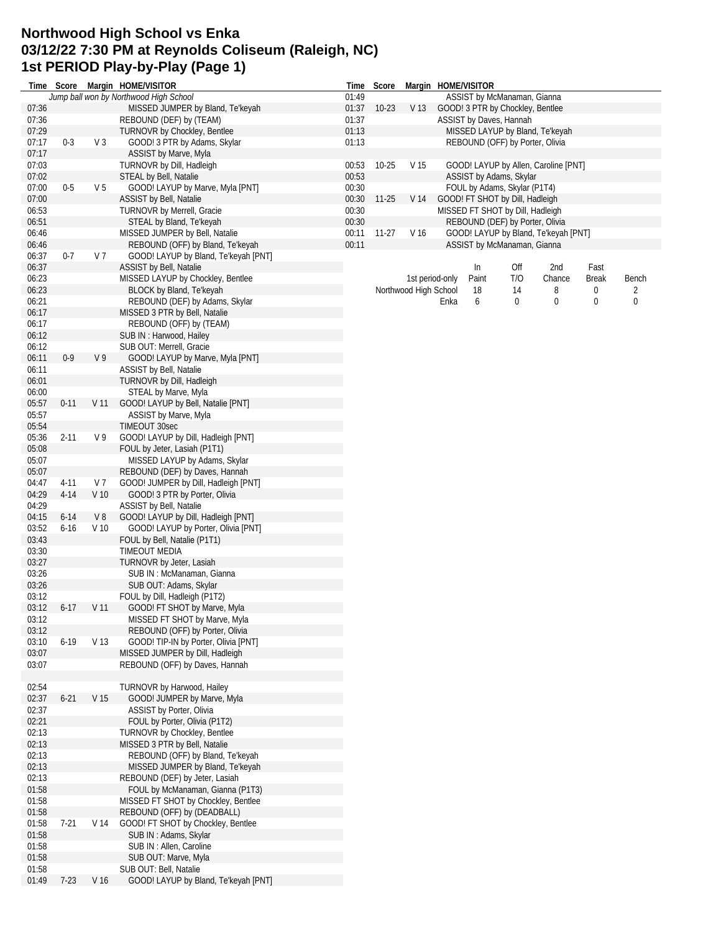#### **Northwood High School vs Enka 03/12/22 7:30 PM at Reynolds Coliseum (Raleigh, NC) 1st PERIOD Play-by-Play (Page 1)**

|                |          |                 | Time Score Margin HOME/VISITOR                                         |                | Time Score  |                       | Margin HOME/VISITOR |       |                                                                     |                                      |              |                  |
|----------------|----------|-----------------|------------------------------------------------------------------------|----------------|-------------|-----------------------|---------------------|-------|---------------------------------------------------------------------|--------------------------------------|--------------|------------------|
|                |          |                 | Jump ball won by Northwood High School                                 | 01:49          |             |                       |                     |       | ASSIST by McManaman, Gianna                                         |                                      |              |                  |
| 07:36          |          |                 | MISSED JUMPER by Bland, Te'keyah                                       |                | 01:37 10-23 | V <sub>13</sub>       |                     |       | GOOD! 3 PTR by Chockley, Bentlee                                    |                                      |              |                  |
| 07:36          |          |                 | REBOUND (DEF) by (TEAM)                                                | 01:37          |             |                       |                     |       | ASSIST by Daves, Hannah                                             |                                      |              |                  |
| 07:29          |          |                 | TURNOVR by Chockley, Bentlee                                           | 01:13          |             |                       |                     |       |                                                                     | MISSED LAYUP by Bland, Te'keyah      |              |                  |
| 07:17          | $0 - 3$  | V <sub>3</sub>  | GOOD! 3 PTR by Adams, Skylar                                           | 01:13          |             |                       |                     |       | REBOUND (OFF) by Porter, Olivia                                     |                                      |              |                  |
| 07:17          |          |                 | ASSIST by Marve, Myla                                                  |                |             |                       |                     |       |                                                                     |                                      |              |                  |
| 07:03          |          |                 | TURNOVR by Dill, Hadleigh                                              | 00:53          | $10 - 25$   | V 15                  |                     |       |                                                                     | GOOD! LAYUP by Allen, Caroline [PNT] |              |                  |
| 07:02<br>07:00 | $0-5$    | V <sub>5</sub>  | STEAL by Bell, Natalie                                                 | 00:53<br>00:30 |             |                       |                     |       | ASSIST by Adams, Skylar                                             |                                      |              |                  |
| 07:00          |          |                 | GOOD! LAYUP by Marve, Myla [PNT]<br>ASSIST by Bell, Natalie            | 00:30          | $11 - 25$   | V 14                  |                     |       | FOUL by Adams, Skylar (P1T4)                                        |                                      |              |                  |
| 06:53          |          |                 | <b>TURNOVR by Merrell, Gracie</b>                                      | 00:30          |             |                       |                     |       | GOOD! FT SHOT by Dill, Hadleigh<br>MISSED FT SHOT by Dill, Hadleigh |                                      |              |                  |
| 06:51          |          |                 | STEAL by Bland, Te'keyah                                               | 00:30          |             |                       |                     |       | REBOUND (DEF) by Porter, Olivia                                     |                                      |              |                  |
| 06:46          |          |                 | MISSED JUMPER by Bell, Natalie                                         |                | 00:11 11-27 | V 16                  |                     |       |                                                                     | GOOD! LAYUP by Bland, Te'keyah [PNT] |              |                  |
| 06:46          |          |                 | REBOUND (OFF) by Bland, Te'keyah                                       | 00:11          |             |                       |                     |       | ASSIST by McManaman, Gianna                                         |                                      |              |                  |
| 06:37          | $0 - 7$  | V <sub>7</sub>  | GOOD! LAYUP by Bland, Te'keyah [PNT]                                   |                |             |                       |                     |       |                                                                     |                                      |              |                  |
| 06:37          |          |                 | ASSIST by Bell, Natalie                                                |                |             |                       |                     | In    | Off                                                                 | 2nd                                  | Fast         |                  |
| 06:23          |          |                 | MISSED LAYUP by Chockley, Bentlee                                      |                |             |                       | 1st period-only     | Paint | T/O                                                                 | Chance                               | <b>Break</b> | Bench            |
| 06:23          |          |                 | BLOCK by Bland, Te'keyah                                               |                |             | Northwood High School |                     | 18    | 14                                                                  | 8                                    | 0            | 2                |
| 06:21          |          |                 | REBOUND (DEF) by Adams, Skylar                                         |                |             |                       | Enka                | 6     | 0                                                                   | 0                                    | 0            | $\boldsymbol{0}$ |
| 06:17          |          |                 | MISSED 3 PTR by Bell, Natalie                                          |                |             |                       |                     |       |                                                                     |                                      |              |                  |
| 06:17          |          |                 | REBOUND (OFF) by (TEAM)                                                |                |             |                       |                     |       |                                                                     |                                      |              |                  |
| 06:12          |          |                 | SUB IN: Harwood, Hailey                                                |                |             |                       |                     |       |                                                                     |                                      |              |                  |
| 06:12          |          |                 | SUB OUT: Merrell, Gracie                                               |                |             |                       |                     |       |                                                                     |                                      |              |                  |
| 06:11          | $0 - 9$  | V <sub>9</sub>  | GOOD! LAYUP by Marve, Myla [PNT]                                       |                |             |                       |                     |       |                                                                     |                                      |              |                  |
| 06:11          |          |                 | ASSIST by Bell, Natalie                                                |                |             |                       |                     |       |                                                                     |                                      |              |                  |
| 06:01          |          |                 | TURNOVR by Dill, Hadleigh                                              |                |             |                       |                     |       |                                                                     |                                      |              |                  |
| 06:00          |          |                 | STEAL by Marve, Myla                                                   |                |             |                       |                     |       |                                                                     |                                      |              |                  |
| 05:57          | $0 - 11$ | V <sub>11</sub> | GOOD! LAYUP by Bell, Natalie [PNT]                                     |                |             |                       |                     |       |                                                                     |                                      |              |                  |
| 05:57          |          |                 | ASSIST by Marve, Myla                                                  |                |             |                       |                     |       |                                                                     |                                      |              |                  |
| 05:54          |          |                 | TIMEOUT 30sec                                                          |                |             |                       |                     |       |                                                                     |                                      |              |                  |
| 05:36          | $2 - 11$ | V 9             | GOOD! LAYUP by Dill, Hadleigh [PNT]                                    |                |             |                       |                     |       |                                                                     |                                      |              |                  |
| 05:08          |          |                 | FOUL by Jeter, Lasiah (P1T1)                                           |                |             |                       |                     |       |                                                                     |                                      |              |                  |
| 05:07          |          |                 | MISSED LAYUP by Adams, Skylar                                          |                |             |                       |                     |       |                                                                     |                                      |              |                  |
| 05:07<br>04:47 | $4 - 11$ | V 7             | REBOUND (DEF) by Daves, Hannah<br>GOOD! JUMPER by Dill, Hadleigh [PNT] |                |             |                       |                     |       |                                                                     |                                      |              |                  |
| 04:29          | $4 - 14$ | V <sub>10</sub> | GOOD! 3 PTR by Porter, Olivia                                          |                |             |                       |                     |       |                                                                     |                                      |              |                  |
| 04:29          |          |                 | ASSIST by Bell, Natalie                                                |                |             |                       |                     |       |                                                                     |                                      |              |                  |
| 04:15          | $6 - 14$ | V8              | GOOD! LAYUP by Dill, Hadleigh [PNT]                                    |                |             |                       |                     |       |                                                                     |                                      |              |                  |
| 03:52          | $6 - 16$ | V <sub>10</sub> | GOOD! LAYUP by Porter, Olivia [PNT]                                    |                |             |                       |                     |       |                                                                     |                                      |              |                  |
| 03:43          |          |                 | FOUL by Bell, Natalie (P1T1)                                           |                |             |                       |                     |       |                                                                     |                                      |              |                  |
| 03:30          |          |                 | <b>TIMEOUT MEDIA</b>                                                   |                |             |                       |                     |       |                                                                     |                                      |              |                  |
| 03:27          |          |                 | TURNOVR by Jeter, Lasiah                                               |                |             |                       |                     |       |                                                                     |                                      |              |                  |
| 03:26          |          |                 | SUB IN: McManaman, Gianna                                              |                |             |                       |                     |       |                                                                     |                                      |              |                  |
| 03:26          |          |                 | SUB OUT: Adams, Skylar                                                 |                |             |                       |                     |       |                                                                     |                                      |              |                  |
| 03:12          |          |                 | FOUL by Dill, Hadleigh (P1T2)                                          |                |             |                       |                     |       |                                                                     |                                      |              |                  |
| 03:12          | $6-17$   |                 | V 11 GOOD! FT SHOT by Marve, Myla                                      |                |             |                       |                     |       |                                                                     |                                      |              |                  |
| 03:12          |          |                 | MISSED FT SHOT by Marve, Myla                                          |                |             |                       |                     |       |                                                                     |                                      |              |                  |
| 03:12          |          |                 | REBOUND (OFF) by Porter, Olivia                                        |                |             |                       |                     |       |                                                                     |                                      |              |                  |
| 03:10          | $6 - 19$ | V 13            | GOOD! TIP-IN by Porter, Olivia [PNT]                                   |                |             |                       |                     |       |                                                                     |                                      |              |                  |
| 03:07          |          |                 | MISSED JUMPER by Dill, Hadleigh                                        |                |             |                       |                     |       |                                                                     |                                      |              |                  |
| 03:07          |          |                 | REBOUND (OFF) by Daves, Hannah                                         |                |             |                       |                     |       |                                                                     |                                      |              |                  |
|                |          |                 |                                                                        |                |             |                       |                     |       |                                                                     |                                      |              |                  |
| 02:54          |          |                 | TURNOVR by Harwood, Hailey                                             |                |             |                       |                     |       |                                                                     |                                      |              |                  |
| 02:37          | $6 - 21$ | V <sub>15</sub> | GOOD! JUMPER by Marve, Myla                                            |                |             |                       |                     |       |                                                                     |                                      |              |                  |
| 02:37<br>02:21 |          |                 | ASSIST by Porter, Olivia<br>FOUL by Porter, Olivia (P1T2)              |                |             |                       |                     |       |                                                                     |                                      |              |                  |
| 02:13          |          |                 | <b>TURNOVR by Chockley, Bentlee</b>                                    |                |             |                       |                     |       |                                                                     |                                      |              |                  |
| 02:13          |          |                 | MISSED 3 PTR by Bell, Natalie                                          |                |             |                       |                     |       |                                                                     |                                      |              |                  |
| 02:13          |          |                 | REBOUND (OFF) by Bland, Te'keyah                                       |                |             |                       |                     |       |                                                                     |                                      |              |                  |
| 02:13          |          |                 | MISSED JUMPER by Bland, Te'keyah                                       |                |             |                       |                     |       |                                                                     |                                      |              |                  |
| 02:13          |          |                 | REBOUND (DEF) by Jeter, Lasiah                                         |                |             |                       |                     |       |                                                                     |                                      |              |                  |
| 01:58          |          |                 | FOUL by McManaman, Gianna (P1T3)                                       |                |             |                       |                     |       |                                                                     |                                      |              |                  |
| 01:58          |          |                 | MISSED FT SHOT by Chockley, Bentlee                                    |                |             |                       |                     |       |                                                                     |                                      |              |                  |
| 01:58          |          |                 | REBOUND (OFF) by (DEADBALL)                                            |                |             |                       |                     |       |                                                                     |                                      |              |                  |
| 01:58          | $7 - 21$ | V 14            | GOOD! FT SHOT by Chockley, Bentlee                                     |                |             |                       |                     |       |                                                                     |                                      |              |                  |
| 01:58          |          |                 | SUB IN: Adams, Skylar                                                  |                |             |                       |                     |       |                                                                     |                                      |              |                  |
| 01:58          |          |                 | SUB IN : Allen, Caroline                                               |                |             |                       |                     |       |                                                                     |                                      |              |                  |
| 01:58          |          |                 | SUB OUT: Marve, Myla                                                   |                |             |                       |                     |       |                                                                     |                                      |              |                  |
| 01:58          |          |                 | SUB OUT: Bell, Natalie                                                 |                |             |                       |                     |       |                                                                     |                                      |              |                  |
| 01:49          | $7-23$   | V 16            | GOOD! LAYUP by Bland, Te'keyah [PNT]                                   |                |             |                       |                     |       |                                                                     |                                      |              |                  |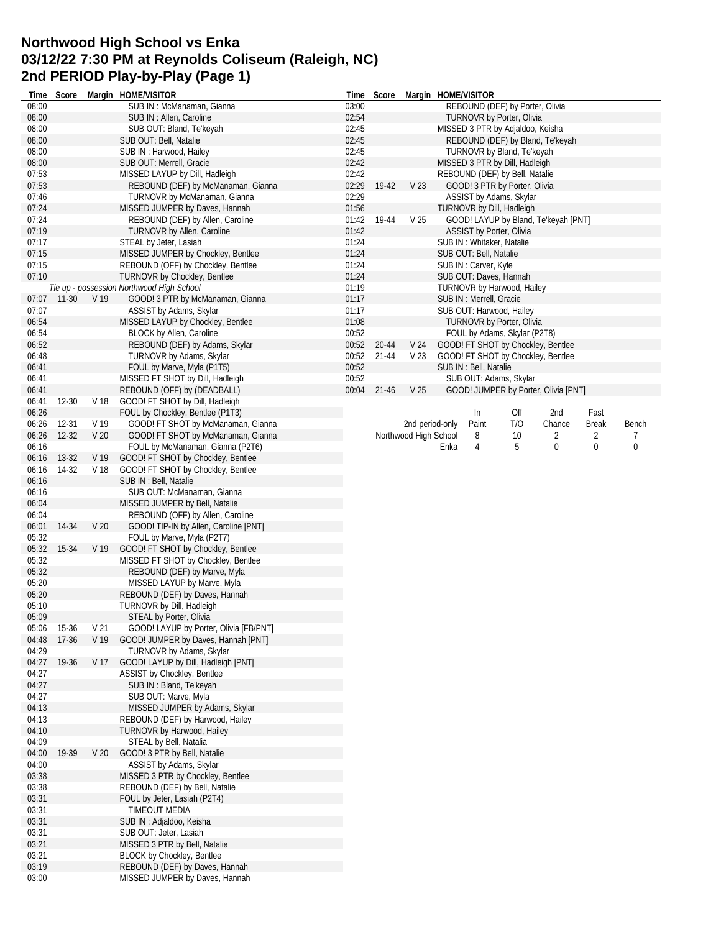# **Northwood High School vs Enka 03/12/22 7:30 PM at Reynolds Coliseum (Raleigh, NC) 2nd PERIOD Play-by-Play (Page 1)**

| Time  | Score       |                 | Margin HOME/VISITOR                       |       | Time Score |                       | Margin HOME/VISITOR                  |     |             |              |           |
|-------|-------------|-----------------|-------------------------------------------|-------|------------|-----------------------|--------------------------------------|-----|-------------|--------------|-----------|
| 08:00 |             |                 | SUB IN: McManaman, Gianna                 | 03:00 |            |                       | REBOUND (DEF) by Porter, Olivia      |     |             |              |           |
| 08:00 |             |                 | SUB IN: Allen, Caroline                   | 02:54 |            |                       | TURNOVR by Porter, Olivia            |     |             |              |           |
| 08:00 |             |                 | SUB OUT: Bland, Te'keyah                  | 02:45 |            |                       | MISSED 3 PTR by Adjaldoo, Keisha     |     |             |              |           |
| 08:00 |             |                 | SUB OUT: Bell, Natalie                    | 02:45 |            |                       | REBOUND (DEF) by Bland, Te'keyah     |     |             |              |           |
| 08:00 |             |                 | SUB IN: Harwood, Hailey                   | 02:45 |            |                       | TURNOVR by Bland, Te'keyah           |     |             |              |           |
| 08:00 |             |                 | SUB OUT: Merrell, Gracie                  | 02:42 |            |                       | MISSED 3 PTR by Dill, Hadleigh       |     |             |              |           |
| 07:53 |             |                 | MISSED LAYUP by Dill, Hadleigh            | 02:42 |            |                       | REBOUND (DEF) by Bell, Natalie       |     |             |              |           |
| 07:53 |             |                 | REBOUND (DEF) by McManaman, Gianna        | 02:29 | 19-42      | V 23                  | GOOD! 3 PTR by Porter, Olivia        |     |             |              |           |
| 07:46 |             |                 | TURNOVR by McManaman, Gianna              | 02:29 |            |                       | ASSIST by Adams, Skylar              |     |             |              |           |
| 07:24 |             |                 | MISSED JUMPER by Daves, Hannah            | 01:56 |            |                       | TURNOVR by Dill, Hadleigh            |     |             |              |           |
| 07:24 |             |                 | REBOUND (DEF) by Allen, Caroline          | 01:42 | 19-44      | V <sub>25</sub>       | GOOD! LAYUP by Bland, Te'keyah [PNT] |     |             |              |           |
| 07:19 |             |                 | TURNOVR by Allen, Caroline                | 01:42 |            |                       | ASSIST by Porter, Olivia             |     |             |              |           |
| 07:17 |             |                 | STEAL by Jeter, Lasiah                    | 01:24 |            |                       |                                      |     |             |              |           |
|       |             |                 |                                           |       |            |                       | SUB IN: Whitaker, Natalie            |     |             |              |           |
| 07:15 |             |                 | MISSED JUMPER by Chockley, Bentlee        | 01:24 |            |                       | SUB OUT: Bell, Natalie               |     |             |              |           |
| 07:15 |             |                 | REBOUND (OFF) by Chockley, Bentlee        | 01:24 |            |                       | SUB IN: Carver, Kyle                 |     |             |              |           |
| 07:10 |             |                 | <b>TURNOVR by Chockley, Bentlee</b>       | 01:24 |            |                       | SUB OUT: Daves, Hannah               |     |             |              |           |
|       |             |                 | Tie up - possession Northwood High School | 01:19 |            |                       | TURNOVR by Harwood, Hailey           |     |             |              |           |
| 07:07 | 11-30       | V <sub>19</sub> | GOOD! 3 PTR by McManaman, Gianna          | 01:17 |            |                       | SUB IN : Merrell, Gracie             |     |             |              |           |
| 07:07 |             |                 | ASSIST by Adams, Skylar                   | 01:17 |            |                       | SUB OUT: Harwood, Hailey             |     |             |              |           |
| 06:54 |             |                 | MISSED LAYUP by Chockley, Bentlee         | 01:08 |            |                       | TURNOVR by Porter, Olivia            |     |             |              |           |
| 06:54 |             |                 | BLOCK by Allen, Caroline                  | 00:52 |            |                       | FOUL by Adams, Skylar (P2T8)         |     |             |              |           |
| 06:52 |             |                 | REBOUND (DEF) by Adams, Skylar            | 00:52 | 20-44      | V <sub>24</sub>       | GOOD! FT SHOT by Chockley, Bentlee   |     |             |              |           |
| 06:48 |             |                 | TURNOVR by Adams, Skylar                  | 00:52 | 21-44      | V <sub>23</sub>       | GOOD! FT SHOT by Chockley, Bentlee   |     |             |              |           |
| 06:41 |             |                 | FOUL by Marve, Myla (P1T5)                | 00:52 |            |                       | SUB IN : Bell, Natalie               |     |             |              |           |
| 06:41 |             |                 | MISSED FT SHOT by Dill, Hadleigh          | 00:52 |            |                       | SUB OUT: Adams, Skylar               |     |             |              |           |
| 06:41 |             |                 | REBOUND (OFF) by (DEADBALL)               | 00:04 | $21 - 46$  | V 25                  | GOOD! JUMPER by Porter, Olivia [PNT] |     |             |              |           |
| 06:41 | 12-30       | V 18            | GOOD! FT SHOT by Dill, Hadleigh           |       |            |                       |                                      |     |             |              |           |
| 06:26 |             |                 | FOUL by Chockley, Bentlee (P1T3)          |       |            |                       | In                                   | Off | 2nd         | Fast         |           |
| 06:26 | 12-31       | V 19            | GOOD! FT SHOT by McManaman, Gianna        |       |            | 2nd period-only       | Paint                                | T/O | Chance      | <b>Break</b> | Bench     |
| 06:26 | $12 - 32$   | V <sub>20</sub> | GOOD! FT SHOT by McManaman, Gianna        |       |            | Northwood High School | 8                                    | 10  | 2           | 2            | 7         |
| 06:16 |             |                 |                                           |       |            |                       | 4                                    | 5   | $\mathbf 0$ | $\mathbf 0$  | $\pmb{0}$ |
|       |             |                 | FOUL by McManaman, Gianna (P2T6)          |       |            |                       | Enka                                 |     |             |              |           |
| 06:16 | $13-32$     | V 19            | GOOD! FT SHOT by Chockley, Bentlee        |       |            |                       |                                      |     |             |              |           |
| 06:16 | 14-32       | V 18            | GOOD! FT SHOT by Chockley, Bentlee        |       |            |                       |                                      |     |             |              |           |
| 06:16 |             |                 | SUB IN: Bell, Natalie                     |       |            |                       |                                      |     |             |              |           |
| 06:16 |             |                 | SUB OUT: McManaman, Gianna                |       |            |                       |                                      |     |             |              |           |
| 06:04 |             |                 | MISSED JUMPER by Bell, Natalie            |       |            |                       |                                      |     |             |              |           |
| 06:04 |             |                 | REBOUND (OFF) by Allen, Caroline          |       |            |                       |                                      |     |             |              |           |
| 06:01 | 14-34       | V <sub>20</sub> | GOOD! TIP-IN by Allen, Caroline [PNT]     |       |            |                       |                                      |     |             |              |           |
| 05:32 |             |                 | FOUL by Marve, Myla (P2T7)                |       |            |                       |                                      |     |             |              |           |
| 05:32 | 15-34       | V <sub>19</sub> | GOOD! FT SHOT by Chockley, Bentlee        |       |            |                       |                                      |     |             |              |           |
| 05:32 |             |                 | MISSED FT SHOT by Chockley, Bentlee       |       |            |                       |                                      |     |             |              |           |
| 05:32 |             |                 | REBOUND (DEF) by Marve, Myla              |       |            |                       |                                      |     |             |              |           |
| 05:20 |             |                 | MISSED LAYUP by Marve, Myla               |       |            |                       |                                      |     |             |              |           |
| 05:20 |             |                 | REBOUND (DEF) by Daves, Hannah            |       |            |                       |                                      |     |             |              |           |
| 05:10 |             |                 | TURNOVR by Dill, Hadleigh                 |       |            |                       |                                      |     |             |              |           |
| 05:09 |             |                 |                                           |       |            |                       |                                      |     |             |              |           |
|       |             |                 | STEAL by Porter, Olivia                   |       |            |                       |                                      |     |             |              |           |
| 05:06 | 15-36       | V <sub>21</sub> | GOOD! LAYUP by Porter, Olivia [FB/PNT]    |       |            |                       |                                      |     |             |              |           |
| 04:48 | $17-36$     | V <sub>19</sub> | GOOD! JUMPER by Daves, Hannah [PNT]       |       |            |                       |                                      |     |             |              |           |
| 04:29 |             |                 | TURNOVR by Adams, Skylar                  |       |            |                       |                                      |     |             |              |           |
|       | 04:27 19-36 | V 17            | GOOD! LAYUP by Dill, Hadleigh [PNT]       |       |            |                       |                                      |     |             |              |           |
| 04:27 |             |                 | ASSIST by Chockley, Bentlee               |       |            |                       |                                      |     |             |              |           |
| 04:27 |             |                 | SUB IN: Bland, Te'keyah                   |       |            |                       |                                      |     |             |              |           |
| 04:27 |             |                 | SUB OUT: Marve, Myla                      |       |            |                       |                                      |     |             |              |           |
| 04:13 |             |                 | MISSED JUMPER by Adams, Skylar            |       |            |                       |                                      |     |             |              |           |
| 04:13 |             |                 | REBOUND (DEF) by Harwood, Hailey          |       |            |                       |                                      |     |             |              |           |
| 04:10 |             |                 | TURNOVR by Harwood, Hailey                |       |            |                       |                                      |     |             |              |           |
| 04:09 |             |                 | STEAL by Bell, Natalia                    |       |            |                       |                                      |     |             |              |           |
| 04:00 | 19-39       | V <sub>20</sub> | GOOD! 3 PTR by Bell, Natalie              |       |            |                       |                                      |     |             |              |           |
| 04:00 |             |                 | ASSIST by Adams, Skylar                   |       |            |                       |                                      |     |             |              |           |
| 03:38 |             |                 | MISSED 3 PTR by Chockley, Bentlee         |       |            |                       |                                      |     |             |              |           |
| 03:38 |             |                 | REBOUND (DEF) by Bell, Natalie            |       |            |                       |                                      |     |             |              |           |
| 03:31 |             |                 | FOUL by Jeter, Lasiah (P2T4)              |       |            |                       |                                      |     |             |              |           |
| 03:31 |             |                 | TIMEOUT MEDIA                             |       |            |                       |                                      |     |             |              |           |
| 03:31 |             |                 | SUB IN: Adjaldoo, Keisha                  |       |            |                       |                                      |     |             |              |           |
| 03:31 |             |                 | SUB OUT: Jeter, Lasiah                    |       |            |                       |                                      |     |             |              |           |
|       |             |                 |                                           |       |            |                       |                                      |     |             |              |           |
| 03:21 |             |                 | MISSED 3 PTR by Bell, Natalie             |       |            |                       |                                      |     |             |              |           |
| 03:21 |             |                 | <b>BLOCK by Chockley, Bentlee</b>         |       |            |                       |                                      |     |             |              |           |
| 03:19 |             |                 | REBOUND (DEF) by Daves, Hannah            |       |            |                       |                                      |     |             |              |           |
| 03:00 |             |                 | MISSED JUMPER by Daves, Hannah            |       |            |                       |                                      |     |             |              |           |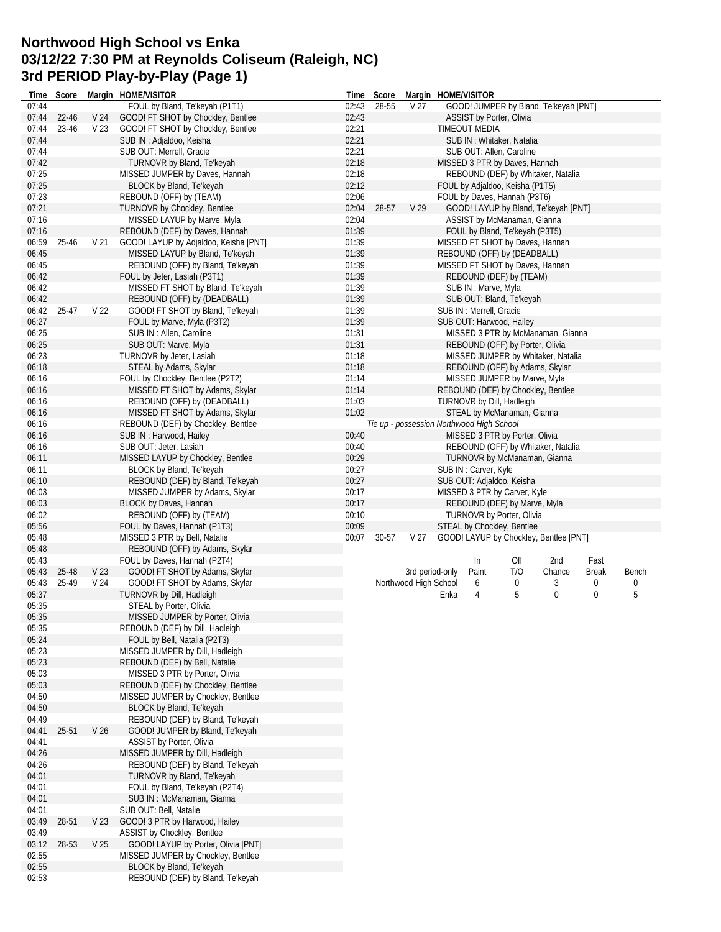# **Northwood High School vs Enka 03/12/22 7:30 PM at Reynolds Coliseum (Raleigh, NC) 3rd PERIOD Play-by-Play (Page 1)**

| Time           | Score |                 | Margin HOME/VISITOR                                          | Time  | Score |                       |      | Margin HOME/VISITOR                       |     |                                        |              |       |
|----------------|-------|-----------------|--------------------------------------------------------------|-------|-------|-----------------------|------|-------------------------------------------|-----|----------------------------------------|--------------|-------|
| 07:44          |       |                 | FOUL by Bland, Te'keyah (P1T1)                               | 02:43 | 28-55 | V <sub>27</sub>       |      |                                           |     | GOOD! JUMPER by Bland, Te'keyah [PNT]  |              |       |
| 07:44          | 22-46 | V 24            | GOOD! FT SHOT by Chockley, Bentlee                           | 02:43 |       |                       |      | <b>ASSIST by Porter, Olivia</b>           |     |                                        |              |       |
| 07:44          | 23-46 | V <sub>23</sub> | GOOD! FT SHOT by Chockley, Bentlee                           | 02:21 |       |                       |      | TIMEOUT MEDIA                             |     |                                        |              |       |
| 07:44          |       |                 | SUB IN: Adjaldoo, Keisha                                     | 02:21 |       |                       |      | SUB IN: Whitaker, Natalia                 |     |                                        |              |       |
| 07:44          |       |                 | SUB OUT: Merrell, Gracie                                     | 02:21 |       |                       |      | SUB OUT: Allen, Caroline                  |     |                                        |              |       |
| 07:42          |       |                 | <b>TURNOVR by Bland, Te'keyah</b>                            | 02:18 |       |                       |      | MISSED 3 PTR by Daves, Hannah             |     |                                        |              |       |
| 07:25          |       |                 | MISSED JUMPER by Daves, Hannah                               | 02:18 |       |                       |      |                                           |     | REBOUND (DEF) by Whitaker, Natalia     |              |       |
| 07:25          |       |                 | BLOCK by Bland, Te'keyah                                     | 02:12 |       |                       |      | FOUL by Adjaldoo, Keisha (P1T5)           |     |                                        |              |       |
| 07:23          |       |                 | REBOUND (OFF) by (TEAM)                                      | 02:06 |       |                       |      | FOUL by Daves, Hannah (P3T6)              |     |                                        |              |       |
| 07:21          |       |                 | <b>TURNOVR by Chockley, Bentlee</b>                          | 02:04 | 28-57 | V <sub>29</sub>       |      |                                           |     | GOOD! LAYUP by Bland, Te'keyah [PNT]   |              |       |
| 07:16          |       |                 | MISSED LAYUP by Marve, Myla                                  | 02:04 |       |                       |      | ASSIST by McManaman, Gianna               |     |                                        |              |       |
| 07:16          |       |                 | REBOUND (DEF) by Daves, Hannah                               | 01:39 |       |                       |      | FOUL by Bland, Te'keyah (P3T5)            |     |                                        |              |       |
|                |       | V <sub>21</sub> | GOOD! LAYUP by Adjaldoo, Keisha [PNT]                        | 01:39 |       |                       |      |                                           |     |                                        |              |       |
| 06:59          | 25-46 |                 |                                                              |       |       |                       |      |                                           |     | MISSED FT SHOT by Daves, Hannah        |              |       |
| 06:45          |       |                 | MISSED LAYUP by Bland, Te'keyah                              | 01:39 |       |                       |      | REBOUND (OFF) by (DEADBALL)               |     |                                        |              |       |
| 06:45          |       |                 | REBOUND (OFF) by Bland, Te'keyah                             | 01:39 |       |                       |      |                                           |     | MISSED FT SHOT by Daves, Hannah        |              |       |
| 06:42          |       |                 | FOUL by Jeter, Lasiah (P3T1)                                 | 01:39 |       |                       |      | REBOUND (DEF) by (TEAM)                   |     |                                        |              |       |
| 06:42          |       |                 | MISSED FT SHOT by Bland, Te'keyah                            | 01:39 |       |                       |      | SUB IN: Marve, Myla                       |     |                                        |              |       |
| 06:42          |       |                 | REBOUND (OFF) by (DEADBALL)                                  | 01:39 |       |                       |      | SUB OUT: Bland, Te'keyah                  |     |                                        |              |       |
| 06:42          | 25-47 | V 22            | GOOD! FT SHOT by Bland, Te'keyah                             | 01:39 |       |                       |      | SUB IN : Merrell, Gracie                  |     |                                        |              |       |
| 06:27          |       |                 | FOUL by Marve, Myla (P3T2)                                   | 01:39 |       |                       |      | SUB OUT: Harwood, Hailey                  |     |                                        |              |       |
| 06:25          |       |                 | SUB IN: Allen, Caroline                                      | 01:31 |       |                       |      |                                           |     | MISSED 3 PTR by McManaman, Gianna      |              |       |
| 06:25          |       |                 | SUB OUT: Marve, Myla                                         | 01:31 |       |                       |      | REBOUND (OFF) by Porter, Olivia           |     |                                        |              |       |
| 06:23          |       |                 | TURNOVR by Jeter, Lasiah                                     | 01:18 |       |                       |      |                                           |     | MISSED JUMPER by Whitaker, Natalia     |              |       |
| 06:18          |       |                 | STEAL by Adams, Skylar                                       | 01:18 |       |                       |      |                                           |     | REBOUND (OFF) by Adams, Skylar         |              |       |
| 06:16          |       |                 | FOUL by Chockley, Bentlee (P2T2)                             | 01:14 |       |                       |      | MISSED JUMPER by Marve, Myla              |     |                                        |              |       |
| 06:16          |       |                 | MISSED FT SHOT by Adams, Skylar                              | 01:14 |       |                       |      |                                           |     | REBOUND (DEF) by Chockley, Bentlee     |              |       |
| 06:16          |       |                 | REBOUND (OFF) by (DEADBALL)                                  | 01:03 |       |                       |      | TURNOVR by Dill, Hadleigh                 |     |                                        |              |       |
| 06:16          |       |                 | MISSED FT SHOT by Adams, Skylar                              | 01:02 |       |                       |      | STEAL by McManaman, Gianna                |     |                                        |              |       |
| 06:16          |       |                 | REBOUND (DEF) by Chockley, Bentlee                           |       |       |                       |      | Tie up - possession Northwood High School |     |                                        |              |       |
| 06:16          |       |                 | SUB IN: Harwood, Hailey                                      | 00:40 |       |                       |      | MISSED 3 PTR by Porter, Olivia            |     |                                        |              |       |
| 06:16          |       |                 | SUB OUT: Jeter, Lasiah                                       | 00:40 |       |                       |      |                                           |     | REBOUND (OFF) by Whitaker, Natalia     |              |       |
| 06:11          |       |                 | MISSED LAYUP by Chockley, Bentlee                            | 00:29 |       |                       |      |                                           |     | TURNOVR by McManaman, Gianna           |              |       |
| 06:11          |       |                 | BLOCK by Bland, Te'keyah                                     | 00:27 |       |                       |      | SUB IN: Carver, Kyle                      |     |                                        |              |       |
| 06:10          |       |                 | REBOUND (DEF) by Bland, Te'keyah                             | 00:27 |       |                       |      | SUB OUT: Adjaldoo, Keisha                 |     |                                        |              |       |
| 06:03          |       |                 | MISSED JUMPER by Adams, Skylar                               | 00:17 |       |                       |      | MISSED 3 PTR by Carver, Kyle              |     |                                        |              |       |
| 06:03          |       |                 | BLOCK by Daves, Hannah                                       | 00:17 |       |                       |      | REBOUND (DEF) by Marve, Myla              |     |                                        |              |       |
| 06:02          |       |                 | REBOUND (OFF) by (TEAM)                                      | 00:10 |       |                       |      | TURNOVR by Porter, Olivia                 |     |                                        |              |       |
| 05:56          |       |                 |                                                              |       |       |                       |      |                                           |     |                                        |              |       |
|                |       |                 |                                                              |       |       |                       |      |                                           |     |                                        |              |       |
|                |       |                 | FOUL by Daves, Hannah (P1T3)                                 | 00:09 |       |                       |      | STEAL by Chockley, Bentlee                |     |                                        |              |       |
| 05:48          |       |                 | MISSED 3 PTR by Bell, Natalie                                | 00:07 | 30-57 | V 27                  |      |                                           |     | GOOD! LAYUP by Chockley, Bentlee [PNT] |              |       |
| 05:48          |       |                 | REBOUND (OFF) by Adams, Skylar                               |       |       |                       |      |                                           |     |                                        |              |       |
| 05:43          |       |                 | FOUL by Daves, Hannah (P2T4)                                 |       |       |                       |      | In                                        | Off | 2nd                                    | Fast         |       |
| 05:43          | 25-48 | V <sub>23</sub> | GOOD! FT SHOT by Adams, Skylar                               |       |       | 3rd period-only       |      | Paint                                     | T/O | Chance                                 | <b>Break</b> | Bench |
| 05:43          | 25-49 | V 24            | GOOD! FT SHOT by Adams, Skylar                               |       |       | Northwood High School |      | 6                                         | 0   | 3                                      | 0            | 0     |
| 05:37          |       |                 | TURNOVR by Dill, Hadleigh                                    |       |       |                       | Enka | 4                                         | 5   | $\mathbf 0$                            | $\mathbf 0$  | 5     |
| 05:35          |       |                 | STEAL by Porter, Olivia                                      |       |       |                       |      |                                           |     |                                        |              |       |
| 05:35          |       |                 | MISSED JUMPER by Porter, Olivia                              |       |       |                       |      |                                           |     |                                        |              |       |
| 05:35          |       |                 | REBOUND (DEF) by Dill, Hadleigh                              |       |       |                       |      |                                           |     |                                        |              |       |
| 05:24          |       |                 | FOUL by Bell, Natalia (P2T3)                                 |       |       |                       |      |                                           |     |                                        |              |       |
| 05:23          |       |                 | MISSED JUMPER by Dill, Hadleigh                              |       |       |                       |      |                                           |     |                                        |              |       |
| 05:23          |       |                 | REBOUND (DEF) by Bell, Natalie                               |       |       |                       |      |                                           |     |                                        |              |       |
| 05:03          |       |                 | MISSED 3 PTR by Porter, Olivia                               |       |       |                       |      |                                           |     |                                        |              |       |
| 05:03          |       |                 |                                                              |       |       |                       |      |                                           |     |                                        |              |       |
|                |       |                 | REBOUND (DEF) by Chockley, Bentlee                           |       |       |                       |      |                                           |     |                                        |              |       |
| 04:50          |       |                 | MISSED JUMPER by Chockley, Bentlee                           |       |       |                       |      |                                           |     |                                        |              |       |
| 04:50          |       |                 | BLOCK by Bland, Te'keyah                                     |       |       |                       |      |                                           |     |                                        |              |       |
| 04:49          |       |                 | REBOUND (DEF) by Bland, Te'keyah                             |       |       |                       |      |                                           |     |                                        |              |       |
| 04:41          | 25-51 | V <sub>26</sub> | GOOD! JUMPER by Bland, Te'keyah                              |       |       |                       |      |                                           |     |                                        |              |       |
| 04:41          |       |                 | ASSIST by Porter, Olivia                                     |       |       |                       |      |                                           |     |                                        |              |       |
| 04:26          |       |                 | MISSED JUMPER by Dill, Hadleigh                              |       |       |                       |      |                                           |     |                                        |              |       |
| 04:26          |       |                 | REBOUND (DEF) by Bland, Te'keyah                             |       |       |                       |      |                                           |     |                                        |              |       |
| 04:01          |       |                 | TURNOVR by Bland, Te'keyah                                   |       |       |                       |      |                                           |     |                                        |              |       |
| 04:01          |       |                 | FOUL by Bland, Te'keyah (P2T4)                               |       |       |                       |      |                                           |     |                                        |              |       |
| 04:01          |       |                 | SUB IN: McManaman, Gianna                                    |       |       |                       |      |                                           |     |                                        |              |       |
| 04:01          |       |                 | SUB OUT: Bell, Natalie                                       |       |       |                       |      |                                           |     |                                        |              |       |
| 03:49          | 28-51 | V <sub>23</sub> | GOOD! 3 PTR by Harwood, Hailey                               |       |       |                       |      |                                           |     |                                        |              |       |
| 03:49          |       |                 | ASSIST by Chockley, Bentlee                                  |       |       |                       |      |                                           |     |                                        |              |       |
| 03:12          | 28-53 | V <sub>25</sub> | GOOD! LAYUP by Porter, Olivia [PNT]                          |       |       |                       |      |                                           |     |                                        |              |       |
| 02:55          |       |                 | MISSED JUMPER by Chockley, Bentlee                           |       |       |                       |      |                                           |     |                                        |              |       |
| 02:55<br>02:53 |       |                 | BLOCK by Bland, Te'keyah<br>REBOUND (DEF) by Bland, Te'keyah |       |       |                       |      |                                           |     |                                        |              |       |